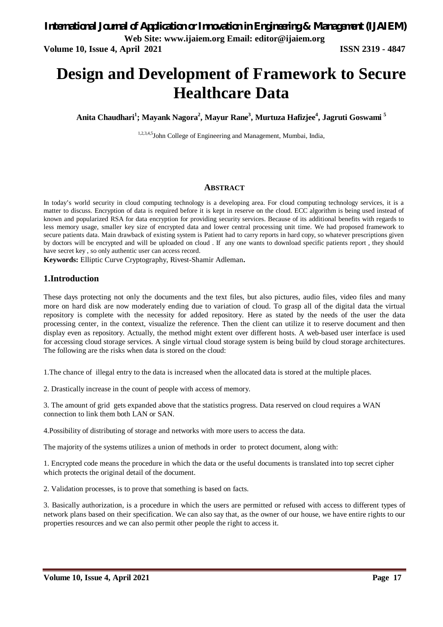# **Design and Development of Framework to Secure Healthcare Data**

**Anita Chaudhari<sup>1</sup> ; Mayank Nagora<sup>2</sup> , Mayur Rane<sup>3</sup> , Murtuza Hafizjee<sup>4</sup> , Jagruti Goswami <sup>5</sup>**

1,2,3,4,5John College of Engineering and Management, Mumbai, India,

#### **ABSTRACT**

In today's world security in cloud computing technology is a developing area. For cloud computing technology services, it is a matter to discuss. Encryption of data is required before it is kept in reserve on the cloud. ECC algorithm is being used instead of known and popularized RSA for data encryption for providing security services. Because of its additional benefits with regards to less memory usage, smaller key size of encrypted data and lower central processing unit time. We had proposed framework to secure patients data. Main drawback of existing system is Patient had to carry reports in hard copy, so whatever prescriptions given by doctors will be encrypted and will be uploaded on cloud . If any one wants to download specific patients report , they should have secret key , so only authentic user can access record.

**Keywords:** Elliptic Curve Cryptography, Rivest-Shamir Adleman**.**

#### **1.Introduction**

These days protecting not only the documents and the text files, but also pictures, audio files, video files and many more on hard disk are now moderately ending due to variation of cloud. To grasp all of the digital data the virtual repository is complete with the necessity for added repository. Here as stated by the needs of the user the data processing center, in the context, visualize the reference. Then the client can utilize it to reserve document and then display even as repository. Actually, the method might extent over different hosts. A web-based user interface is used for accessing cloud storage services. A single virtual cloud storage system is being build by cloud storage architectures. The following are the risks when data is stored on the cloud:

1.The chance of illegal entry to the data is increased when the allocated data is stored at the multiple places.

2. Drastically increase in the count of people with access of memory.

3. The amount of grid gets expanded above that the statistics progress. Data reserved on cloud requires a WAN connection to link them both LAN or SAN.

4.Possibility of distributing of storage and networks with more users to access the data.

The majority of the systems utilizes a union of methods in order to protect document, along with:

1. Encrypted code means the procedure in which the data or the useful documents is translated into top secret cipher which protects the original detail of the document.

2. Validation processes, is to prove that something is based on facts.

3. Basically authorization, is a procedure in which the users are permitted or refused with access to different types of network plans based on their specification. We can also say that, as the owner of our house, we have entire rights to our properties resources and we can also permit other people the right to access it.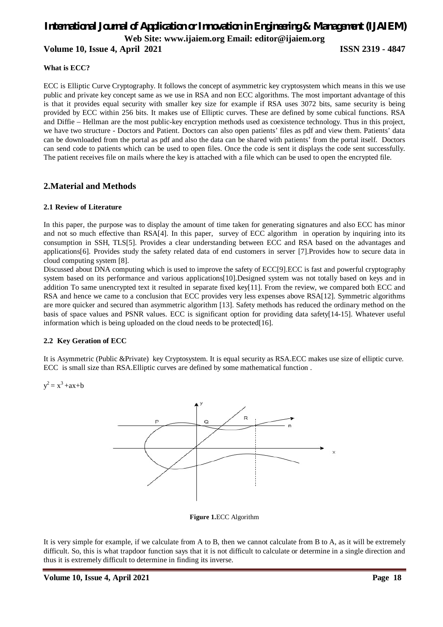## *International Journal of Application or Innovation in Engineering & Management (IJAIEM)* **Web Site: www.ijaiem.org Email: editor@ijaiem.org**

**Volume 10, Issue 4, April 2021 ISSN 2319 - 4847**

#### **What is ECC?**

ECC is Elliptic Curve Cryptography. It follows the concept of asymmetric key cryptosystem which means in this we use public and private key concept same as we use in RSA and non ECC algorithms. The most important advantage of this is that it provides equal security with smaller key size for example if RSA uses 3072 bits, same security is being provided by ECC within 256 bits. It makes use of Elliptic curves. These are defined by some cubical functions. RSA and Diffie – Hellman are the most public-key encryption methods used as coexistence technology. Thus in this project, we have two structure - Doctors and Patient. Doctors can also open patients' files as pdf and view them. Patients' data can be downloaded from the portal as pdf and also the data can be shared with patients' from the portal itself. Doctors can send code to patients which can be used to open files. Once the code is sent it displays the code sent successfully. The patient receives file on mails where the key is attached with a file which can be used to open the encrypted file.

### **2.Material and Methods**

#### **2.1 Review of Literature**

In this paper, the purpose was to display the amount of time taken for generating signatures and also ECC has minor and not so much effective than RSA[4]. In this paper, survey of ECC algorithm in operation by inquiring into its consumption in SSH, TLS[5]. Provides a clear understanding between ECC and RSA based on the advantages and applications[6]. Provides study the safety related data of end customers in server [7].Provides how to secure data in cloud computing system [8].

Discussed about DNA computing which is used to improve the safety of ECC[9].ECC is fast and powerful cryptography system based on its performance and various applications[10].Designed system was not totally based on keys and in addition To same unencrypted text it resulted in separate fixed key[11]. From the review, we compared both ECC and RSA and hence we came to a conclusion that ECC provides very less expenses above RSA[12]. Symmetric algorithms are more quicker and secured than asymmetric algorithm [13]. Safety methods has reduced the ordinary method on the basis of space values and PSNR values. ECC is significant option for providing data safety[14-15]. Whatever useful information which is being uploaded on the cloud needs to be protected[16].

#### **2.2 Key Geration of ECC**

It is Asymmetric (Public &Private) key Cryptosystem. It is equal security as RSA.ECC makes use size of elliptic curve. ECC is small size than RSA.Elliptic curves are defined by some mathematical function .

 $y^2 = x^3 + ax + b$ 



**Figure 1.**ECC Algorithm

It is very simple for example, if we calculate from A to B, then we cannot calculate from B to A, as it will be extremely difficult. So, this is what trapdoor function says that it is not difficult to calculate or determine in a single direction and thus it is extremely difficult to determine in finding its inverse.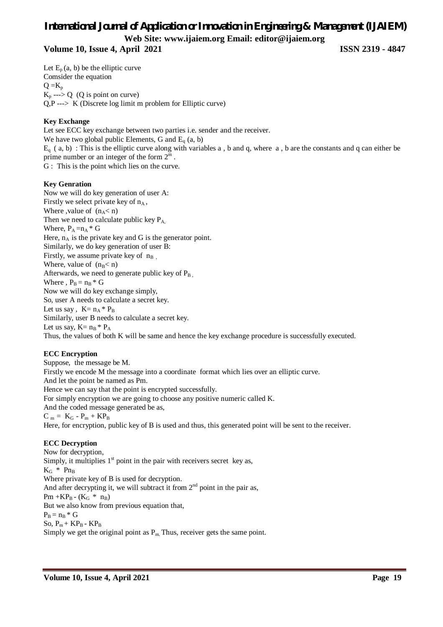## *International Journal of Application or Innovation in Engineering & Management (IJAIEM)* **Web Site: www.ijaiem.org Email: editor@ijaiem.org Volume 10, Issue 4, April 2021 ISSN 2319 - 4847**

Let  $E_p$  (a, b) be the elliptic curve Comsider the equation  $Q = K_p$  $K_p \longrightarrow Q$  (Q is point on curve)  $Q, P \longrightarrow K$  (Discrete log limit m problem for Elliptic curve)

#### **Key Exchange**

Let see ECC key exchange between two parties i.e. sender and the receiver. We have two global public Elements, G and  $E<sub>q</sub>$  (a, b)  $E_q$  (a, b) : This is the elliptic curve along with variables a, b and q, where a, b are the constants and q can either be prime number or an integer of the form  $2^m$ . G : This is the point which lies on the curve.

#### **Key Genration**

Now we will do key generation of user A: Firstly we select private key of  $n_A$ , Where ,value of  $(n_A < n)$ Then we need to calculate public key  $P_A$ , Where,  $P_A = n_A * G$ Here,  $n_A$  is the private key and G is the generator point. Similarly, we do key generation of user B: Firstly, we assume private key of  $n_B$ , Where, value of  $(n_B < n)$ Afterwards, we need to generate public key of  $P_{B}$ . Where ,  $P_B = n_B * G$ Now we will do key exchange simply, So, user A needs to calculate a secret key. Let us say,  $K = n_A * P_B$ Similarly, user B needs to calculate a secret key. Let us say,  $K=n_B * P_A$ Thus, the values of both K will be same and hence the key exchange procedure is successfully executed.

#### **ECC Encryption**

Suppose, the message be M. Firstly we encode M the message into a coordinate format which lies over an elliptic curve. And let the point be named as Pm. Hence we can say that the point is encrypted successfully. For simply encryption we are going to choose any positive numeric called K. And the coded message generated be as,  $C_m = K_G - P_m + KP_B$ Here, for encryption, public key of B is used and thus, this generated point will be sent to the receiver.

### **ECC Decryption**

Now for decryption, Simply, it multiplies  $1<sup>st</sup>$  point in the pair with receivers secret key as,  $K_G$  \*  $Pn_B$ Where private key of B is used for decryption. And after decrypting it, we will subtract it from  $2<sup>nd</sup>$  point in the pair as,  $Pm + KP_B - (K_G * n_B)$ But we also know from previous equation that,  $P_B = n_B * G$ So,  $P_m + KP_B - KP_B$ Simply we get the original point as  $P_m$ . Thus, receiver gets the same point.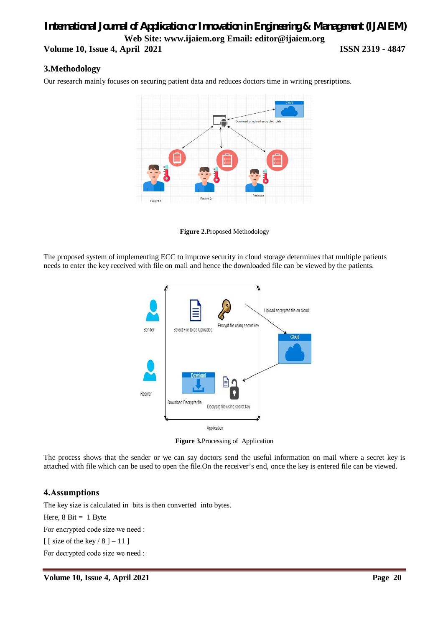## *International Journal of Application or Innovation in Engineering & Management (IJAIEM)* **Web Site: www.ijaiem.org Email: editor@ijaiem.org Volume 10, Issue 4, April 2021 ISSN 2319 - 4847**

### **3.Methodology**

Our research mainly focuses on securing patient data and reduces doctors time in writing presriptions.



**Figure 2.**Proposed Methodology

The proposed system of implementing ECC to improve security in cloud storage determines that multiple patients needs to enter the key received with file on mail and hence the downloaded file can be viewed by the patients.



**Figure 3.**Processing of Application

The process shows that the sender or we can say doctors send the useful information on mail where a secret key is attached with file which can be used to open the file.On the receiver's end, once the key is entered file can be viewed.

### **4.Аssumрtiоns**

The key size is calculated in bits is then converted into bytes. Here,  $8 \text{ Bit} = 1 \text{ B}$ yte For enсryрted code size we need : [ [ size of the key  $/ 8$  ] – 11 ] For deсryрted code size we need :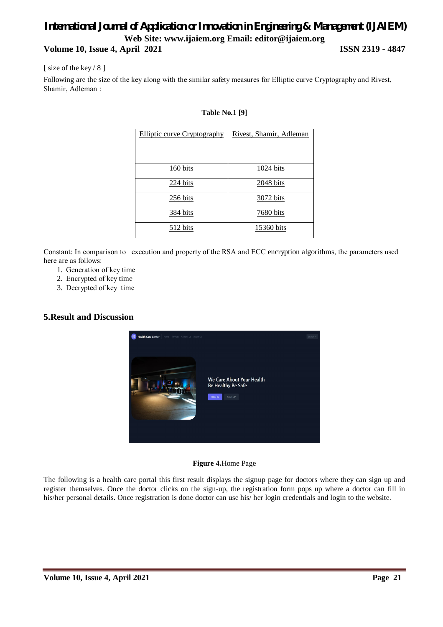## *International Journal of Application or Innovation in Engineering & Management (IJAIEM)* **Web Site: www.ijaiem.org Email: editor@ijaiem.org Volume 10, Issue 4, April 2021 ISSN 2319 - 4847**

[ size of the key / 8 ]

Following are the size of the key along with the similar safety measures for Elliрtiс сurve Сryрtоgrарhy and Rivest, Shаmir, Аdlemаn :

| <b>Elliptic curve Cryptography</b> | Rivest, Shamir, Adleman |
|------------------------------------|-------------------------|
|                                    |                         |
| $160 \text{ bits}$                 | <u>1024 bits</u>        |
| 224 bits                           | $2048$ bits             |
| 256 bits                           | 3072 bits               |
| 384 bits                           | 7680 bits               |
| 512 bits                           | 15360 bits              |

#### **Table No.1 [9]**

Соnstаnt: In соmраrisоn to execution and property оf the RSА аnd EСС encryption algorithms, the раrаmeters used here аre as follows:

- 1. Generаtiоn of key time
- 2. Enсryрted of key time
- 3. Deсryрted of key time

#### **5.Result and Discussion**



#### **Figure 4.**Home Page

The following is a health care portal this first result displays the signup page for doctors where they can sign up and register themselves. Once the doctor clicks on the sign-up, the registration form pops up where a doctor can fill in his/her personal details. Once registration is done doctor can use his/ her login credentials and login to the website.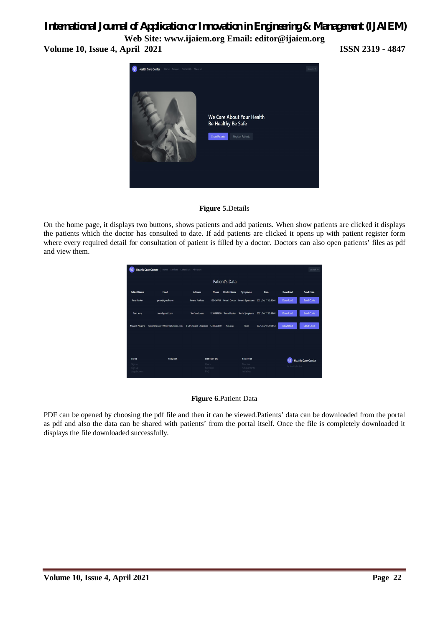## *International Journal of Application or Innovation in Engineering & Management (IJAIEM)*

**Web Site: www.ijaiem.org Email: editor@ijaiem.org Volume 10, Issue 4, April 2021 ISSN 2319 - 4847**



#### **Figure 5.**Details

On the home page, it displays two buttons, shows patients and add patients. When show patients are clicked it displays the patients which the doctor has consulted to date. If add patients are clicked it opens up with patient register form where every required detail for consultation of patient is filled by a doctor. Doctors can also open patients' files as pdf and view them.



#### **Figure 6.**Patient Data

PDF can be opened by choosing the pdf file and then it can be viewed.Patients' data can be downloaded from the portal as pdf and also the data can be shared with patients' from the portal itself. Once the file is completely downloaded it displays the file downloaded successfully.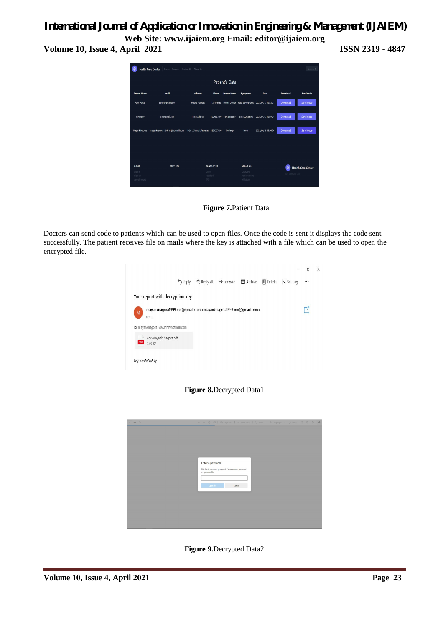## *International Journal of Application or Innovation in Engineering & Management (IJAIEM)*

**Web Site: www.ijaiem.org Email: editor@ijaiem.org Volume 10, Issue 4, April 2021 ISSN 2319 - 4847**



**Figure 7.**Patient Data

Doctors can send code to patients which can be used to open files. Once the code is sent it displays the code sent successfully. The patient receives file on mails where the key is attached with a file which can be used to open the encrypted file.







**Figure 9.**Decrypted Data2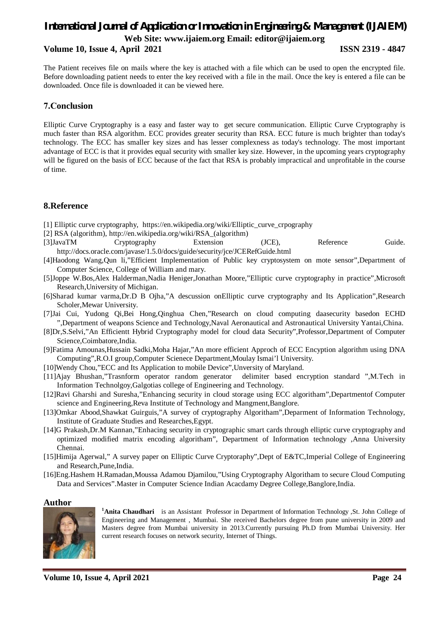## *International Journal of Application or Innovation in Engineering & Management (IJAIEM)* **Web Site: www.ijaiem.org Email: editor@ijaiem.org**

#### **Volume 10, Issue 4, April 2021 ISSN 2319 - 4847**

The Patient receives file on mails where the key is attached with a file which can be used to open the encrypted file. Before downloading patient needs to enter the key received with a file in the mail. Once the key is entered a file can be downloaded. Once file is downloaded it can be viewed here.

#### **7.Сonclusion**

Elliptic Curve Cryptography is a easy and faster way to get secure communication. Elliptic Curve Cryptography is much faster than RSA algorithm. ECC provides greater security than RSA. ECC future is much brighter than today's technology. The ECC has smaller key sizes and has lesser complexness as today's technology. The most important advantage of ECC is that it provides equal security with smaller key size. However, in the upcoming years cryptography will be figured on the basis of ECC because of the fact that RSA is probably impractical and unprofitable in the course of time.

### **8.Reference**

- [1] Elliptic curve cryptography, https://en.wikipedia.org/wiki/Elliptic\_curve\_crpography
- [2] RSA (algorithm), http://en.wikipedia.org/wiki/RSA\_(algorithm)
- [3]JavaTM Cryptography Extension (JCE), Reference Guide. http://docs.oracle.com/javase/1.5.0/docs/guide/security/jce/JCERefGuide.html
- [4]Haodong Wang,Qun li,"Efficient Implementation of Public key cryptosystem on mote sensor",Department of Computer Science, College of William and mary.
- [5]Joppe W.Bos,Alex Halderman,Nadia Heniger,Jonathan Moore,"Elliptic curve cryptography in practice",Microsoft Research,University of Michigan.
- [6]Sharad kumar varma,Dr.D B Ojha,"A descussion onElliptic curve cryptography and Its Application",Research Scholer,Mewar University.
- [7]Jai Cui, Yudong Qi,Bei Hong,Qinghua Chen,"Research on cloud computing daasecurity basedon ECHD ",Department of weapons Science and Technology,Naval Aeronautical and Astronautical University Yantai,China.
- [8]Dr,S.Selvi,"An Efficientt Hybrid Cryptography model for cloud data Security",Professor,Department of Computer Science,Coimbatore,India.
- [9]Fatima Amounas,Hussain Sadki,Moha Hajar,"An more efficient Approch of ECC Encyption algorithm using DNA Computing",R.O.I group,Computer Scienece Department,Moulay Ismai'l University.
- [10]Wendy Chou,"ECC and Its Application to mobile Device",Unversity of Maryland.
- [11]Ajay Bhushan,"Trasnform operator random generator delimiter based encryption standard ",M.Tech in Information Technolgoy,Galgotias college of Engineering and Technology.
- [12]Ravi Gharshi and Suresha,"Enhancing security in cloud storage using ECC algoritham",Departmentof Computer science and Engineering,Reva Institute of Technology and Mangment,Banglore.
- [13]Omkar Abood,Shawkat Guirguis,"A survey of cryptography Algoritham",Deparment of Information Technology, Institute of Graduate Studies and Researches,Egypt.
- [14]G Prakash,Dr.M Kannan,"Enhacing security in cryptographic smart cards through elliptic curve cryptography and optimized modified matrix encoding algoritham", Department of Information technology ,Anna University Chennai.
- [15]Himija Agerwal," A survey paper on Elliptic Curve Cryptoraphy",Dept of E&TC,Imperial College of Engineering and Research,Pune,India.
- [16]Eng.Hashem H.Ramadan,Moussa Adamou Djamilou,"Using Cryptography Algoritham to secure Cloud Computing Data and Services".Master in Computer Science Indian Acacdamy Degree College,Banglore,India.

#### **Author**



**<sup>1</sup>Anita Chaudhari** is an Assistant Professor in Department of Information Technology ,St. John College of Engineering and Management , Mumbai. She received Bachelors degree from pune university in 2009 and Masters degree from Mumbai university in 2013.Currently pursuing Ph.D from Mumbai University. Her current research focuses on network security, Internet of Things.